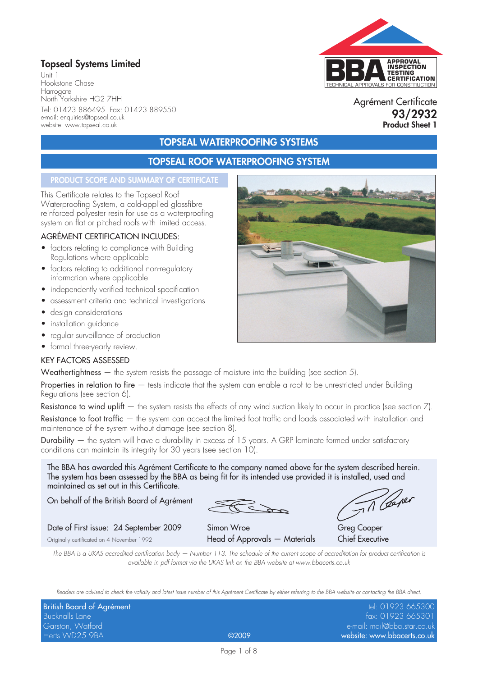## **Topseal Systems Limited**

Unit 1 Hookstone Chase Harrogate North Yorkshire HG2 7HH Tel: 01423 886495 Fax: 01423 889550 e-mail: enquiries@topseal.co.uk website: www.topseal.co.uk

# TECHNICAL APPROVALS FOR CONSTRUCTION **APPROVAL INSPECTION TESTING CERTIFICATION**

Agrément Certificate **93/2932 Product Sheet 1**

### **TOPSEAL WATERPROOFING SYSTEMS**

## **TOPSEAL ROOF WATERPROOFING SYSTEM**

#### **PRODUCT SCOPE AND SUMMARY OF CERTIFICATE**

This Certificate relates to the Topseal Roof Waterproofing System, a cold-applied glassfibre reinforced polyester resin for use as a waterproofing system on flat or pitched roofs with limited access.

#### AGRÉMENT CERTIFICATION INCLUDES:

- factors relating to compliance with Building Regulations where applicable
- factors relating to additional non-regulatory information where applicable
- independently verified technical specification
- assessment criteria and technical investigations
- design considerations
- installation guidance
- regular surveillance of production
- formal three-yearly review.

#### KEY FACTORS ASSESSED

Weathertightness — the system resists the passage of moisture into the building (see section 5).

Properties in relation to fire – tests indicate that the system can enable a roof to be unrestricted under Building Regulations (see section 6).

Resistance to wind uplift  $-$  the system resists the effects of any wind suction likely to occur in practice (see section  $7$ ).

Resistance to foot traffic — the system can accept the limited foot traffic and loads associated with installation and maintenance of the system without damage (see section 8).

Durability — the system will have a durability in excess of 15 years. A GRP laminate formed under satisfactory conditions can maintain its integrity for 30 years (see section 10).

The BBA has awarded this Agrément Certificate to the company named above for the system described herein. The system has been assessed by the BBA as being fit for its intended use provided it is installed, used and maintained as set out in this Certificate.

On behalf of the British Board of Agrément

#### Date of First issue: 24 September 2009 Simon Wroe Greg Cooper

Originally certificated on 4 November 1992 **Head of Approvals — Materials Chief Executive** 

Til Cerer

*The BBA is a UKAS accredited certification body — Number 113. The schedule of the current scope of accreditation for product certification is available in pdf format via the UKAS link on the BBA website at www.bbacerts.co.uk*

*Readers are advised to check the validity and latest issue number of this Agrément Certificate by either referring to the BBA website or contacting the BBA direct.*

| British Board of Agrément |       | tel: 01923 665300           |
|---------------------------|-------|-----------------------------|
| Bucknalls Lane            |       | fax: 01923 665301           |
| Garston, Watford          |       | e-mail: mail@bba.star.co.uk |
| Herts WD25 9BA            | ©2009 | website: www.bbacerts.co.uk |

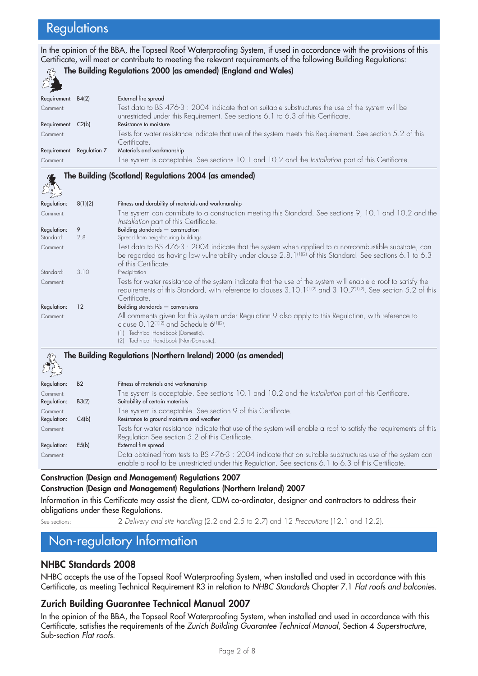## **Regulations**

In the opinion of the BBA, the Topseal Roof Waterproofing System, if used in accordance with the provisions of this Certificate, will meet or contribute to meeting the relevant requirements of the following Building Regulations:

| EX                 |                           |                                                                                                                                                                                           |
|--------------------|---------------------------|-------------------------------------------------------------------------------------------------------------------------------------------------------------------------------------------|
| Requirement: B4(2) |                           | External fire spread                                                                                                                                                                      |
| Comment:           |                           | Test data to BS 476-3 $:$ 2004 indicate that on suitable substructures the use of the system will be<br>unrestricted under this Requirement. See sections 6.1 to 6.3 of this Certificate. |
| Requirement: C2(b) |                           | Resistance to moisture                                                                                                                                                                    |
| Comment:           |                           | Tests for water resistance indicate that use of the system meets this Requirement. See section 5.2 of this<br>Certificate.                                                                |
|                    | Requirement: Regulation 7 | Materials and workmanship                                                                                                                                                                 |
| Comment:           |                           | The system is acceptable. See sections 10.1 and 10.2 and the Installation part of this Certificate.                                                                                       |
|                    |                           |                                                                                                                                                                                           |

**The Building (Scotland) Regulations 2004 (as amended)**

**The Building Regulations 2000 (as amended) (England and Wales)**

| كم يريد     |         |                                                                                                                                                                                                                                                                            |
|-------------|---------|----------------------------------------------------------------------------------------------------------------------------------------------------------------------------------------------------------------------------------------------------------------------------|
| Regulation: | 8(1)(2) | Fitness and durability of materials and workmanship                                                                                                                                                                                                                        |
| Comment:    |         | The system can contribute to a construction meeting this Standard. See sections 9, 10.1 and 10.2 and the<br>Installation part of this Certificate.                                                                                                                         |
| Regulation: | 9       | Building standards $-$ construction                                                                                                                                                                                                                                        |
| Standard:   | 2.8     | Spread from neighbouring buildings                                                                                                                                                                                                                                         |
| Comment:    |         | Test data to BS 476-3 : 2004 indicate that the system when applied to a non-combustible substrate, can<br>be regarded as having low vulnerability under clause 2.8. 1 <sup>(1)(2)</sup> of this Standard. See sections 6.1 to 6.3<br>of this Certificate.                  |
| Standard:   | 3.10    | Precipitation                                                                                                                                                                                                                                                              |
| Comment:    |         | Tests for water resistance of the system indicate that the use of the system will enable a roof to satisfy the<br>requirements of this Standard, with reference to clauses 3.10.1 <sup>(1)(2)</sup> and 3.10.7 <sup>(1)(2)</sup> . See section 5.2 of this<br>Certificate. |
| Regulation: | 12      | Building standards $-$ conversions                                                                                                                                                                                                                                         |
| Comment:    |         | All comments given for this system under Regulation 9 also apply to this Regulation, with reference to<br>clause 0.12 <sup>(1)(2)</sup> and Schedule 6 <sup>(1)(2)</sup> .<br>Technical Handbook (Domestic).<br>(1)<br>(2) Technical Handbook (Non-Domestic).              |

#### **The Building Regulations (Northern Ireland) 2000 (as amended)** Regulation: B2 Fitness of materials and workmanship Comment: The system is acceptable. See sections 10.1 and 10.2 and the *Installation* part of this Certificate. Suitability of certain materials Comment: The system is acceptable. See section 9 of this Certificate. Regulation: C4(b) Resistance to ground moisture and weather Comment: Tests for water resistance indicate that use of the system will enable a roof to satisfy the requirements of this Regulation See section 5.2 of this Certificate. Regulation: E5(b) External fire spread Comment: Data obtained from tests to BS 476-3 : 2004 indicate that on suitable substructures use of the system can enable a roof to be unrestricted under this Regulation. See sections 6.1 to 6.3 of this Certificate.

#### **Construction (Design and Management) Regulations 2007 Construction (Design and Management) Regulations (Northern Ireland) 2007**

Information in this Certificate may assist the client, CDM co-ordinator, designer and contractors to address their obligations under these Regulations.

See sections: 2 *Delivery and site handling* (2.2 and 2.5 to 2.7) and 12 *Precautions* (12.1 and 12.2).

## Non-regulatory Information

### **NHBC Standards 2008**

NHBC accepts the use of the Topseal Roof Waterproofing System, when installed and used in accordance with this Certificate, as meeting Technical Requirement R3 in relation to *NHBC Standards* Chapter 7.1 *Flat roofs and balconies*.

#### **Zurich Building Guarantee Technical Manual 2007**

In the opinion of the BBA, the Topseal Roof Waterproofing System, when installed and used in accordance with this Certificate, satisfies the requirements of the *Zurich Building Guarantee Technical Manual*, Section 4 *Superstructure*, Sub-section *Flat roofs*.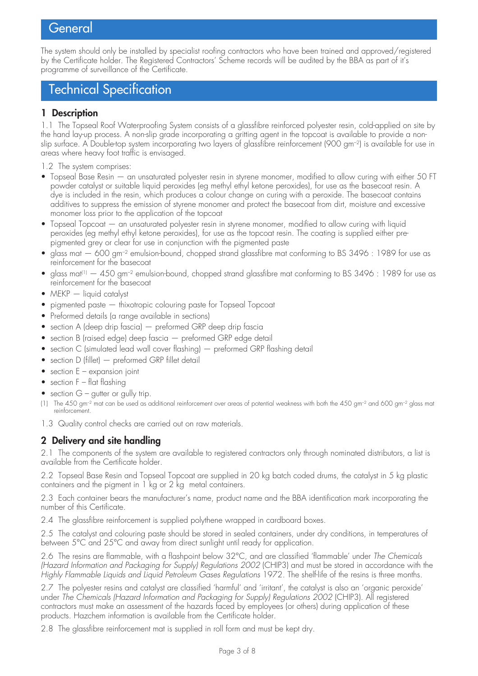## **General**

The system should only be installed by specialist roofing contractors who have been trained and approved/registered by the Certificate holder. The Registered Contractors' Scheme records will be audited by the BBA as part of it's programme of surveillance of the Certificate.

## Technical Specification

#### **1 Description**

1.1 The Topseal Roof Waterproofing System consists of a glassfibre reinforced polyester resin, cold-applied on site by the hand lay-up process. A non-slip grade incorporating a gritting agent in the topcoat is available to provide a nonslip surface. A Double-top system incorporating two layers of glassfibre reinforcement (900 gm–2) is available for use in areas where heavy foot traffic is envisaged.

1.2 The system comprises:

- Topseal Base Resin an unsaturated polyester resin in styrene monomer, modified to allow curing with either 50 FT powder catalyst or suitable liquid peroxides (eg methyl ethyl ketone peroxides), for use as the basecoat resin. A dye is included in the resin, which produces a colour change on curing with a peroxide. The basecoat contains additives to suppress the emission of styrene monomer and protect the basecoat from dirt, moisture and excessive monomer loss prior to the application of the topcoat
- Topseal Topcoat an unsaturated polyester resin in styrene monomer, modified to allow curing with liquid peroxides (eg methyl ethyl ketone peroxides), for use as the topcoat resin. The coating is supplied either prepigmented grey or clear for use in conjunction with the pigmented paste
- glass mat  $-$  600 gm<sup>-2</sup> emulsion-bound, chopped strand glassfibre mat conforming to BS 3496 : 1989 for use as reinforcement for the basecoat
- glass mat<sup>(1)</sup>  $-$  450 gm<sup>-2</sup> emulsion-bound, chopped strand glassfibre mat conforming to BS 3496 : 1989 for use as reinforcement for the basecoat
- MEKP liquid catalyst
- pigmented paste thixotropic colouring paste for Topseal Topcoat
- Preformed details (a range available in sections)
- section A (deep drip fascia) preformed GRP deep drip fascia
- section B (raised edge) deep fascia preformed GRP edge detail
- section C (simulated lead wall cover flashing) preformed GRP flashing detail
- section D (fillet) preformed GRP fillet detail
- section E expansion joint
- section F flat flashing
- section  $G$  gutter or gully trip.
- (1) The 450 gm<sup>-2</sup> mat can be used as additional reinforcement over areas of potential weakness with both the 450 gm<sup>-2</sup> and 600 gm<sup>-2</sup> glass mat reinforcement.
- 1.3 Quality control checks are carried out on raw materials.

### **2 Delivery and site handling**

2.1 The components of the system are available to registered contractors only through nominated distributors, a list is available from the Certificate holder.

2.2 Topseal Base Resin and Topseal Topcoat are supplied in 20 kg batch coded drums, the catalyst in 5 kg plastic containers and the pigment in 1 kg or 2 kg metal containers.

2.3 Each container bears the manufacturer's name, product name and the BBA identification mark incorporating the number of this Certificate.

2.4 The glassfibre reinforcement is supplied polythene wrapped in cardboard boxes.

2.5 The catalyst and colouring paste should be stored in sealed containers, under dry conditions, in temperatures of between 5°C and 25°C and away from direct sunlight until ready for application.

2.6 The resins are flammable, with a flashpoint below 32°C, and are classified 'flammable' under *The Chemicals (Hazard Information and Packaging for Supply) Regulations 2002* (CHIP3) and must be stored in accordance with the *Highly Flammable Liquids and Liquid Petroleum Gases Regulations* 1972. The shelf-life of the resins is three months.

2.7 The polyester resins and catalyst are classified 'harmful' and 'irritant', the catalyst is also an 'organic peroxide' under *The Chemicals (Hazard Information and Packaging for Supply) Regulations 2002* (CHIP3). All registered contractors must make an assessment of the hazards faced by employees (or others) during application of these products. Hazchem information is available from the Certificate holder.

2.8 The glassfibre reinforcement mat is supplied in roll form and must be kept dry.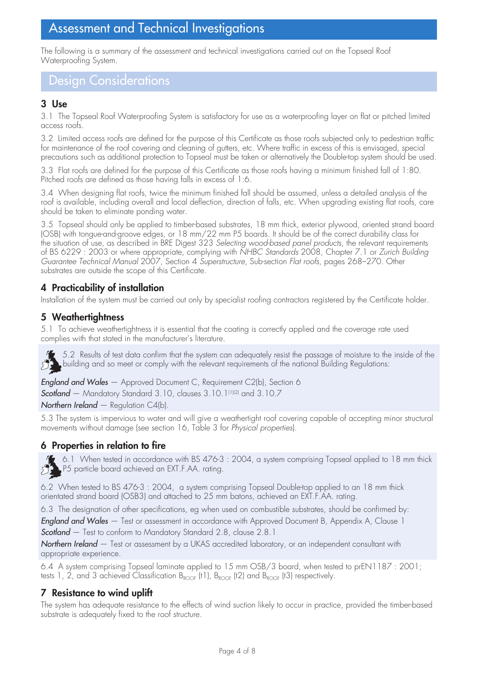# Assessment and Technical Investigations

The following is a summary of the assessment and technical investigations carried out on the Topseal Roof Waterproofing System.

Design Considerations

## **3 Use**

3.1 The Topseal Roof Waterproofing System is satisfactory for use as a waterproofing layer on flat or pitched limited access roofs.

3.2 Limited access roofs are defined for the purpose of this Certificate as those roofs subjected only to pedestrian traffic for maintenance of the roof covering and cleaning of gutters, etc. Where traffic in excess of this is envisaged, special precautions such as additional protection to Topseal must be taken or alternatively the Double-top system should be used.

3.3 Flat roofs are defined for the purpose of this Certificate as those roofs having a minimum finished fall of 1:80. Pitched roofs are defined as those having falls in excess of 1:6.

3.4 When designing flat roofs, twice the minimum finished fall should be assumed, unless a detailed analysis of the roof is available, including overall and local deflection, direction of falls, etc. When upgrading existing flat roofs, care should be taken to eliminate ponding water.

3.5 Topseal should only be applied to timber-based substrates, 18 mm thick, exterior plywood, oriented strand board (OSB) with tongue-and-groove edges, or 18 mm/22 mm P5 boards. It should be of the correct durability class for the situation of use, as described in BRE Digest 323 *Selecting wood-based panel products*, the relevant requirements of BS 6229 : 2003 or where appropriate, complying with *NHBC Standards* 2008, Chapter 7.1 or *Zurich Building Guarantee Technical Manual* 2007, Section 4 *Superstructure*, Sub-section *Flat roofs*, pages 268–270. Other substrates are outside the scope of this Certificate.

### **4 Practicability of installation**

Installation of the system must be carried out only by specialist roofing contractors registered by the Certificate holder.

### **5 Weathertightness**

5.1 To achieve weathertightness it is essential that the coating is correctly applied and the coverage rate used complies with that stated in the manufacturer's literature.

5.2 Results of test data confirm that the system can adequately resist the passage of moisture to the inside of the  $\mathsf{b}_\mathsf{b}$  building and so meet or comply with the relevant requirements of the national Building Regulations: 沙

*England and Wales* — Approved Document C, Requirement C2(b), Section 6 *Scotland* — Mandatory Standard 3.10, clauses 3.10.1(1)(2) and 3.10.7 *Northern Ireland* — Regulation C4(b).

5.3 The system is impervious to water and will give a weathertight roof covering capable of accepting minor structural movements without damage (see section 16, Table 3 for *Physical properties*).

#### **6 Properties in relation to fire**

37

 $\bullet$  6.1 When tested in accordance with BS 476-3 : 2004, a system comprising Topseal applied to 18 mm thick P5 particle board achieved an EXT.F.AA. rating.

6.2 When tested to BS 476-3 : 2004, a system comprising Topseal Double-top applied to an 18 mm thick orientated strand board (OSB3) and attached to 25 mm batons, achieved an EXT.F.AA. rating.

6.3 The designation of other specifications, eg when used on combustible substrates, should be confirmed by:

*England and Wales* — Test or assessment in accordance with Approved Document B, Appendix A, Clause 1 *Scotland* — Test to conform to Mandatory Standard 2.8, clause 2.8.1

*Northern Ireland* — Test or assessment by a UKAS accredited laboratory, or an independent consultant with appropriate experience.

6.4 A system comprising Topseal laminate applied to 15 mm OSB/3 board, when tested to prEN1187 : 2001; tests 1, 2, and 3 achieved Classification  $B_{ROOF}$  (t1),  $B_{ROOF}$  (t2) and  $B_{ROOF}$  (t3) respectively.

#### **7 Resistance to wind uplift**

The system has adequate resistance to the effects of wind suction likely to occur in practice, provided the timber-based substrate is adequately fixed to the roof structure.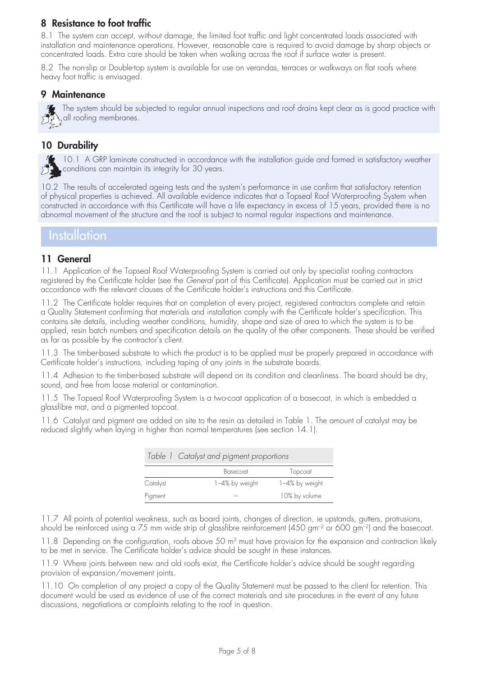## **8 Resistance to foot traffic**

8.1 The system can accept, without damage, the limited foot traffic and light concentrated loads associated with installation and maintenance operations. However, reasonable care is required to avoid damage by sharp objects or concentrated loads. Extra care should be taken when walking across the roof if surface water is present.

8.2 The non-slip or Double-top system is available for use on verandas, terraces or walkways on flat roofs where heavy foot traffic is envisaged.

#### **9 Maintenance**

The system should be subjected to regular annual inspections and roof drains kept clear as is good practice with  $\sum_{n=1}^{\infty}$ all roofing membranes.

#### **10 Durability**

10.1 A GRP laminate constructed in accordance with the installation guide and formed in satisfactory weather conditions can maintain its integrity for 30 years.

10.2 The results of accelerated ageing tests and the system's performance in use confirm that satisfactory retention of physical properties is achieved. All available evidence indicates that a Topseal Roof Waterproofing System when constructed in accordance with this Certificate will have a life expectancy in excess of 15 years, provided there is no abnormal movement of the structure and the roof is subject to normal regular inspections and maintenance.

## **Installation**

#### **11 General**

11.1 Application of the Topseal Roof Waterproofing System is carried out only by specialist roofing contractors registered by the Certificate holder (see the *General* part of this Certificate). Application must be carried out in strict accordance with the relevant clauses of the Certificate holder's instructions and this Certificate.

11.2 The Certificate holder requires that on completion of every project, registered contractors complete and retain a Quality Statement confirming that materials and installation comply with the Certificate holder's specification. This contains site details, including weather conditions, humidity, shape and size of area to which the system is to be applied, resin batch numbers and specification details on the quality of the other components. These should be verified as far as possible by the contractor's client.

11.3 The timber-based substrate to which the product is to be applied must be properly prepared in accordance with Certificate holder's instructions, including taping of any joints in the substrate boards.

11.4 Adhesion to the timber-based substrate will depend on its condition and cleanliness. The board should be dry, sound, and free from loose material or contamination.

11.5 The Topseal Roof Waterproofing System is a two-coat application of a basecoat, in which is embedded a glassfibre mat, and a pigmented topcoat.

11.6 Catalyst and pigment are added on site to the resin as detailed in Table 1. The amount of catalyst may be reduced slightly when laying in higher than normal temperatures (see section 14.1).

|          | Table 1 Catalyst and pigment proportions |                |  |  |  |
|----------|------------------------------------------|----------------|--|--|--|
|          | Basecoat                                 | Topcoat        |  |  |  |
| Catalyst | 1-4% by weight                           | 1-4% by weight |  |  |  |
| Pigment  |                                          | 10% by volume  |  |  |  |

11.7 All points of potential weakness, such as board joints, changes of direction, ie upstands, gutters, protrusions, should be reinforced using a 75 mm wide strip of glassfibre reinforcement (450 gm<sup>-2</sup> or 600 gm<sup>-2</sup>) and the basecoat.

11.8 Depending on the configuration, roofs above 50 m<sup>2</sup> must have provision for the expansion and contraction likely to be met in service. The Certificate holder's advice should be sought in these instances.

11.9 Where joints between new and old roofs exist, the Certificate holder's advice should be sought regarding provision of expansion/movement joints.

11.10 On completion of any project a copy of the Quality Statement must be passed to the client for retention. This document would be used as evidence of use of the correct materials and site procedures in the event of any future discussions, negotiations or complaints relating to the roof in question.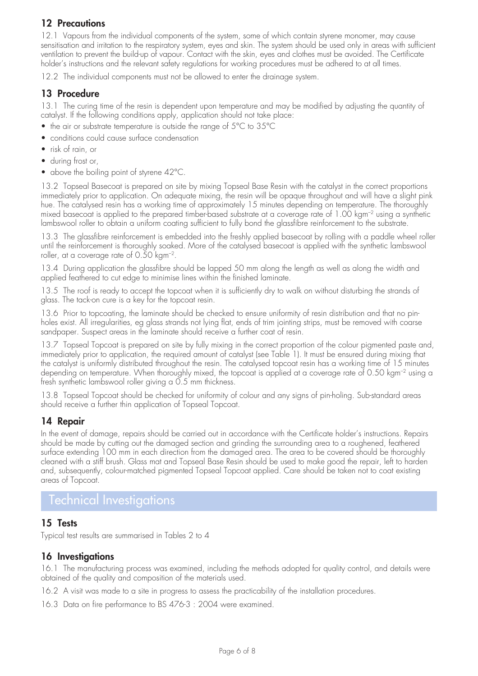## **12 Precautions**

12.1 Vapours from the individual components of the system, some of which contain styrene monomer, may cause sensitisation and irritation to the respiratory system, eyes and skin. The system should be used only in areas with sufficient ventilation to prevent the build-up of vapour. Contact with the skin, eyes and clothes must be avoided. The Certificate holder's instructions and the relevant safety regulations for working procedures must be adhered to at all times.

12.2 The individual components must not be allowed to enter the drainage system.

#### **13 Procedure**

13.1 The curing time of the resin is dependent upon temperature and may be modified by adjusting the quantity of catalyst. If the following conditions apply, application should not take place:

- the air or substrate temperature is outside the range of 5°C to 35°C
- conditions could cause surface condensation
- risk of rain, or
- during frost or,
- above the boiling point of styrene 42°C.

13.2 Topseal Basecoat is prepared on site by mixing Topseal Base Resin with the catalyst in the correct proportions immediately prior to application. On adequate mixing, the resin will be opaque throughout and will have a slight pink hue. The catalysed resin has a working time of approximately 15 minutes depending on temperature. The thoroughly mixed basecoat is applied to the prepared timber-based substrate at a coverage rate of 1.00 kgm–2 using a synthetic lambswool roller to obtain a uniform coating sufficient to fully bond the glassfibre reinforcement to the substrate.

13.3 The glassfibre reinforcement is embedded into the freshly applied basecoat by rolling with a paddle wheel roller until the reinforcement is thoroughly soaked. More of the catalysed basecoat is applied with the synthetic lambswool roller, at a coverage rate of  $0.50$  kgm<sup>-2</sup>.

13.4 During application the glassfibre should be lapped 50 mm along the length as well as along the width and applied feathered to cut edge to minimise lines within the finished laminate.

13.5 The roof is ready to accept the topcoat when it is sufficiently dry to walk on without disturbing the strands of glass. The tack-on cure is a key for the topcoat resin.

13.6 Prior to topcoating, the laminate should be checked to ensure uniformity of resin distribution and that no pinholes exist. All irregularities, eg glass strands not lying flat, ends of trim jointing strips, must be removed with coarse sandpaper. Suspect areas in the laminate should receive a further coat of resin.

13.7 Topseal Topcoat is prepared on site by fully mixing in the correct proportion of the colour pigmented paste and, immediately prior to application, the required amount of catalyst (see Table 1). It must be ensured during mixing that the catalyst is uniformly distributed throughout the resin. The catalysed topcoat resin has a working time of 15 minutes depending on temperature. When thoroughly mixed, the topcoat is applied at a coverage rate of 0.50 kgm<sup>-2</sup> using a fresh synthetic lambswool roller giving a 0.5 mm thickness.

13.8 Topseal Topcoat should be checked for uniformity of colour and any signs of pin-holing. Sub-standard areas should receive a further thin application of Topseal Topcoat.

#### **14 Repair**

In the event of damage, repairs should be carried out in accordance with the Certificate holder's instructions. Repairs should be made by cutting out the damaged section and grinding the surrounding area to a roughened, feathered surface extending 100 mm in each direction from the damaged area. The area to be covered should be thoroughly cleaned with a stiff brush. Glass mat and Topseal Base Resin should be used to make good the repair, left to harden and, subsequently, colour-matched pigmented Topseal Topcoat applied. Care should be taken not to coat existing areas of Topcoat.

## Technical Investigations

#### **15 Tests**

Typical test results are summarised in Tables 2 to 4

#### **16 Investigations**

16.1 The manufacturing process was examined, including the methods adopted for quality control, and details were obtained of the quality and composition of the materials used.

16.2 A visit was made to a site in progress to assess the practicability of the installation procedures.

16.3 Data on fire performance to BS 476-3 : 2004 were examined.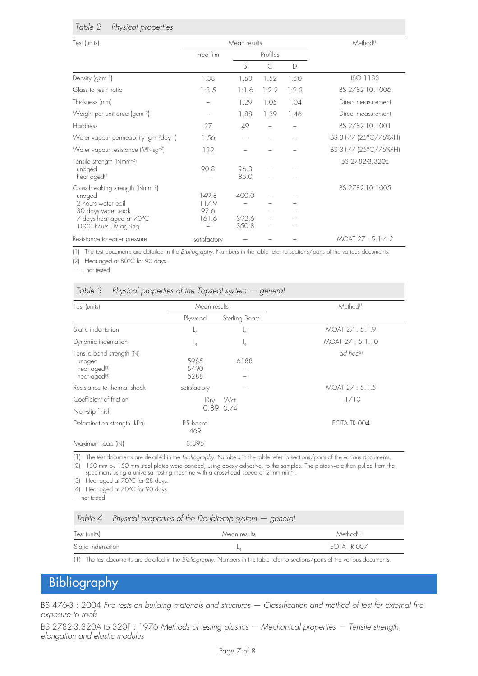| Table 2 |  | Physical properties |
|---------|--|---------------------|
|---------|--|---------------------|

| Test (units)                                                                                                                                           | Mean results                    |                         |          |       | Method <sup>(1)</sup> |
|--------------------------------------------------------------------------------------------------------------------------------------------------------|---------------------------------|-------------------------|----------|-------|-----------------------|
|                                                                                                                                                        | Free film                       |                         | Profiles |       |                       |
|                                                                                                                                                        |                                 | <sub>B</sub>            | C        | D     |                       |
| Density ( $gcm^{-3}$ )                                                                                                                                 | 1.38                            | 1.53                    | 1.52     | 1.50  | ISO 1183              |
| Glass to resin ratio                                                                                                                                   | 1:3.5                           | 1:1.6                   | 1:2.2    | 1:2.2 | BS 2782-10.1006       |
| Thickness (mm)                                                                                                                                         |                                 | 1.29                    | 1.05     | 1.04  | Direct measurement    |
| Weight per unit area (gcm <sup>-2</sup> )                                                                                                              |                                 | 1.88                    | 1.39     | 1.46  | Direct measurement    |
| Hardness                                                                                                                                               | 27                              | 49                      |          |       | BS 2782-10.1001       |
| Water vapour permeability (gm <sup>-2</sup> day <sup>-1</sup> )                                                                                        | 1.56                            |                         |          |       | BS 3177 (25°C/75%RH)  |
| Water vapour resistance (MNsg <sup>-2</sup> )                                                                                                          | 132                             |                         |          |       | BS 3177 (25°C/75%RH)  |
| Tensile strength (Nmm <sup>-2</sup> )<br>unaged<br>heat aged <sup>(2)</sup>                                                                            | 90.8                            | 96.3<br>85.0            |          |       | BS 2782-3.320E        |
| Cross-breaking strength (Nmm <sup>-2</sup> )<br>unaged<br>2 hours water boil<br>30 days water soak<br>7 days heat aged at 70°C<br>1000 hours UV ageing | 149.8<br>117.9<br>92.6<br>161.6 | 400.0<br>392.6<br>350.8 |          |       | BS 2782-10.1005       |
| Resistance to water pressure                                                                                                                           | satisfactory                    |                         |          |       | MOAT 27:5.1.4.2       |

(1) The test documents are detailed in the *Bibliography*. Numbers in the table refer to sections/parts of the various documents.

(2) Heat aged at 80°C for 90 days.

 $-$  = not tested

|  |  |  | Table $3$ Physical properties of the Topseal system $-$ general |  |
|--|--|--|-----------------------------------------------------------------|--|
|  |  |  |                                                                 |  |

| Test (units)                                                                                | Mean results         |                      | Method <sup>(1)</sup> |
|---------------------------------------------------------------------------------------------|----------------------|----------------------|-----------------------|
|                                                                                             | Plywood              | Sterling Board       |                       |
| Static indentation                                                                          | L <sub>4</sub>       | $-4$                 | MOAT 27:5.1.9         |
| Dynamic indentation                                                                         | <sup>1</sup> 4       | $\mathsf{I}_4$       | MOAT 27:5.1.10        |
| Tensile bond strength (N)<br>unaged<br>heat aged <sup>(3)</sup><br>heat aged <sup>(4)</sup> | 5985<br>5490<br>5288 | 6188                 | ad hoc <sup>(2)</sup> |
| Resistance to thermal shock                                                                 | satisfactory         |                      | MOAT 27:5.1.5         |
| Coefficient of friction<br>Non-slip finish                                                  | Drv                  | Wet<br>$0.89$ $0.74$ | T1/10                 |
| Delamination strength (kPa)                                                                 | P5 board<br>469      |                      | EOTA TR 004           |
| Maximum load (N)                                                                            | 3.395                |                      |                       |

(1) The test documents are detailed in the *Bibliography*. Numbers in the table refer to sections/parts of the various documents. (2) 150 mm by 150 mm steel plates were bonded, using epoxy adhesive, to the samples. The plates were then pulled from the

specimens using a universal testing machine with a cross-head speed of 2 mm min-1

(3) Heat aged at 70°C for 28 days.

(4) Heat aged at 70°C for 90 days.

— not tested

|                    | Table 4 Physical properties of the Double-top system $-$ general |                       |
|--------------------|------------------------------------------------------------------|-----------------------|
| Test (units)       | Mean results                                                     | Method <sup>(1)</sup> |
| Static indentation |                                                                  | FOTA TR 007           |

(1) The test documents are detailed in the *Bibliography*. Numbers in the table refer to sections/parts of the various documents.

# Bibliography

BS 476-3 : 2004 *Fire tests on building materials and structures — Classification and method of test for external fire exposure to roofs*

BS 2782-3.320A to 320F : 1976 *Methods of testing plastics — Mechanical properties — Tensile strength, elongation and elastic modulus*